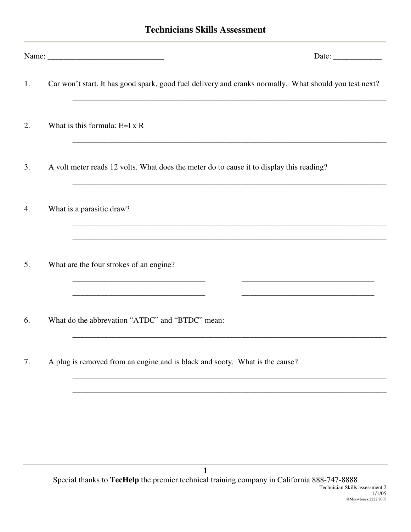## **Technicians Skills Assessment**

|    |                                                                                                                                                                         | Date: $\qquad \qquad$ |
|----|-------------------------------------------------------------------------------------------------------------------------------------------------------------------------|-----------------------|
| 1. | Car won't start. It has good spark, good fuel delivery and cranks normally. What should you test next?                                                                  |                       |
| 2. | What is this formula: $E=I \times R$                                                                                                                                    |                       |
| 3. | A volt meter reads 12 volts. What does the meter do to cause it to display this reading?                                                                                |                       |
| 4. | What is a parasitic draw?                                                                                                                                               |                       |
| 5. | What are the four strokes of an engine?                                                                                                                                 |                       |
| 6. | <u> 1989 - Johann Stein, marwolaethau a bhann an t-Amhair an t-Amhair an t-Amhair an t-Amhair an t-Amhair an t-A</u><br>What do the abbrevation "ATDC" and "BTDC" mean: |                       |
| 7. | A plug is removed from an engine and is black and sooty. What is the cause?                                                                                             |                       |
|    |                                                                                                                                                                         |                       |
|    |                                                                                                                                                                         |                       |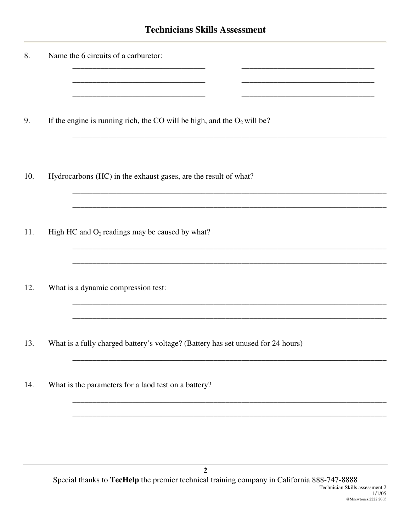| 8.  | Name the 6 circuits of a carburetor:                                             |
|-----|----------------------------------------------------------------------------------|
| 9.  | If the engine is running rich, the CO will be high, and the $O_2$ will be?       |
| 10. | Hydrocarbons (HC) in the exhaust gases, are the result of what?                  |
| 11. | High HC and $O_2$ readings may be caused by what?                                |
| 12. | What is a dynamic compression test:                                              |
| 13. | What is a fully charged battery's voltage? (Battery has set unused for 24 hours) |
| 14. | What is the parameters for a laod test on a battery?                             |
|     |                                                                                  |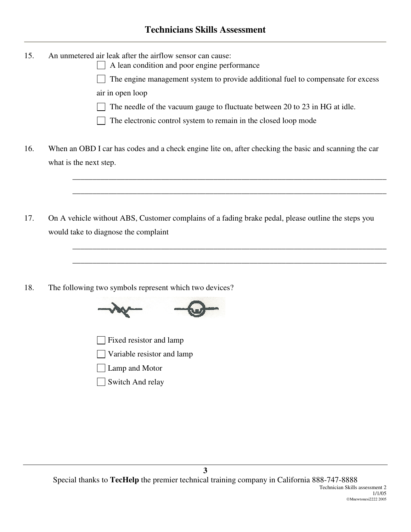- 15. An unmetered air leak after the airflow sensor can cause:
	- | | A lean condition and poor engine performance

The engine management system to provide additional fuel to compensate for excess  $\perp$ air in open loop

The needle of the vacuum gauge to fluctuate between 20 to 23 in HG at idle.

\_\_\_\_\_\_\_\_\_\_\_\_\_\_\_\_\_\_\_\_\_\_\_\_\_\_\_\_\_\_\_\_\_\_\_\_\_\_\_\_\_\_\_\_\_\_\_\_\_\_\_\_\_\_\_\_\_\_\_\_\_\_\_\_\_\_\_\_\_\_\_\_\_\_\_\_\_\_

\_\_\_\_\_\_\_\_\_\_\_\_\_\_\_\_\_\_\_\_\_\_\_\_\_\_\_\_\_\_\_\_\_\_\_\_\_\_\_\_\_\_\_\_\_\_\_\_\_\_\_\_\_\_\_\_\_\_\_\_\_\_\_\_\_\_\_\_\_\_\_\_\_\_\_\_\_\_

\_\_\_\_\_\_\_\_\_\_\_\_\_\_\_\_\_\_\_\_\_\_\_\_\_\_\_\_\_\_\_\_\_\_\_\_\_\_\_\_\_\_\_\_\_\_\_\_\_\_\_\_\_\_\_\_\_\_\_\_\_\_\_\_\_\_\_\_\_\_\_\_\_\_\_\_\_\_

\_\_\_\_\_\_\_\_\_\_\_\_\_\_\_\_\_\_\_\_\_\_\_\_\_\_\_\_\_\_\_\_\_\_\_\_\_\_\_\_\_\_\_\_\_\_\_\_\_\_\_\_\_\_\_\_\_\_\_\_\_\_\_\_\_\_\_\_\_\_\_\_\_\_\_\_\_\_

- The electronic control system to remain in the closed loop mode
- 16. When an OBD I car has codes and a check engine lite on, after checking the basic and scanning the car what is the next step.
- 17. On A vehicle without ABS, Customer complains of a fading brake pedal, please outline the steps you would take to diagnose the complaint
- 18. The following two symbols represent which two devices?



- Fixed resistor and lamp
- Variable resistor and lamp
- Lamp and Motor
- Switch And relay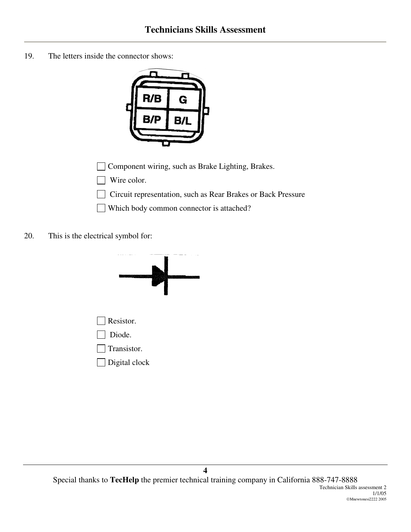19. The letters inside the connector shows:



□ Component wiring, such as Brake Lighting, Brakes.

- Wire color.  $\Box$
- Circuit representation, such as Rear Brakes or Back Pressure
- Which body common connector is attached?
- 20. This is the electrical symbol for: